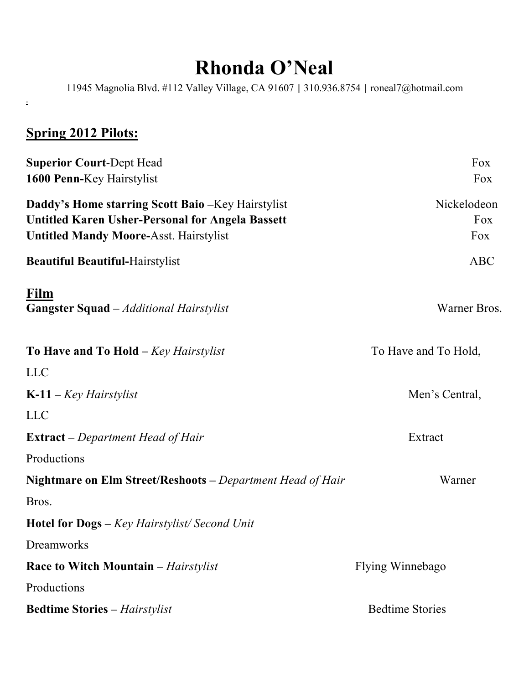## **Rhonda O'Neal**

11945 Magnolia Blvd. #112 Valley Village, CA 91607 | 310.936.8754 | roneal7@hotmail.com

## **Spring 2012 Pilots:**

j.

| <b>Superior Court-Dept Head</b>                                   | Fox                    |
|-------------------------------------------------------------------|------------------------|
| 1600 Penn-Key Hairstylist                                         | Fox                    |
| Daddy's Home starring Scott Baio - Key Hairstylist                | Nickelodeon            |
| <b>Untitled Karen Usher-Personal for Angela Bassett</b>           | Fox                    |
| <b>Untitled Mandy Moore-Asst. Hairstylist</b>                     | Fox                    |
| <b>Beautiful Beautiful-Hairstylist</b>                            | <b>ABC</b>             |
| Film<br><b>Gangster Squad</b> – Additional Hairstylist            | Warner Bros.           |
| To Have and To Hold $-$ Key Hairstylist                           | To Have and To Hold,   |
| <b>LLC</b>                                                        |                        |
| $K-11 - Key\,$                                                    | Men's Central,         |
| <b>LLC</b>                                                        |                        |
| <b>Extract</b> – Department Head of Hair                          | Extract                |
| Productions                                                       |                        |
| <b>Nightmare on Elm Street/Reshoots</b> – Department Head of Hair | Warner                 |
| Bros.                                                             |                        |
| <b>Hotel for Dogs</b> - Key Hairstylist/Second Unit               |                        |
| Dreamworks                                                        |                        |
| <b>Race to Witch Mountain – Hairstylist</b>                       | Flying Winnebago       |
| Productions                                                       |                        |
| <b>Bedtime Stories - Hairstylist</b>                              | <b>Bedtime Stories</b> |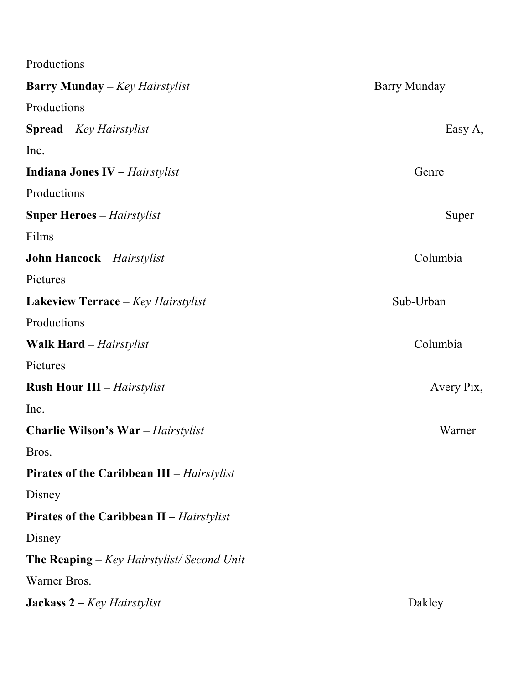Productions

| <b>Barry Munday</b> – Key Hairstylist             | <b>Barry Munday</b> |
|---------------------------------------------------|---------------------|
| Productions                                       |                     |
| <b>Spread</b> – Key Hairstylist                   | Easy A,             |
| Inc.                                              |                     |
| <b>Indiana Jones IV</b> - Hairstylist             | Genre               |
| Productions                                       |                     |
| <b>Super Heroes</b> – <i>Hairstylist</i>          | Super               |
| Films                                             |                     |
| <b>John Hancock - Hairstylist</b>                 | Columbia            |
| Pictures                                          |                     |
| <b>Lakeview Terrace – Key Hairstylist</b>         | Sub-Urban           |
| Productions                                       |                     |
| <b>Walk Hard</b> – <i>Hairstylist</i>             | Columbia            |
| Pictures                                          |                     |
| <b>Rush Hour III - Hairstylist</b>                | Avery Pix,          |
| Inc.                                              |                     |
| <b>Charlie Wilson's War</b> - Hairstylist         | Warner              |
| Bros.                                             |                     |
| <b>Pirates of the Caribbean III – Hairstylist</b> |                     |
| Disney                                            |                     |
| <b>Pirates of the Caribbean II – Hairstylist</b>  |                     |
| Disney                                            |                     |
| <b>The Reaping</b> – Key Hairstylist/Second Unit  |                     |
| Warner Bros.                                      |                     |
| <b>Jackass 2</b> – $Key$ <i>Hairstylist</i>       | Dakley              |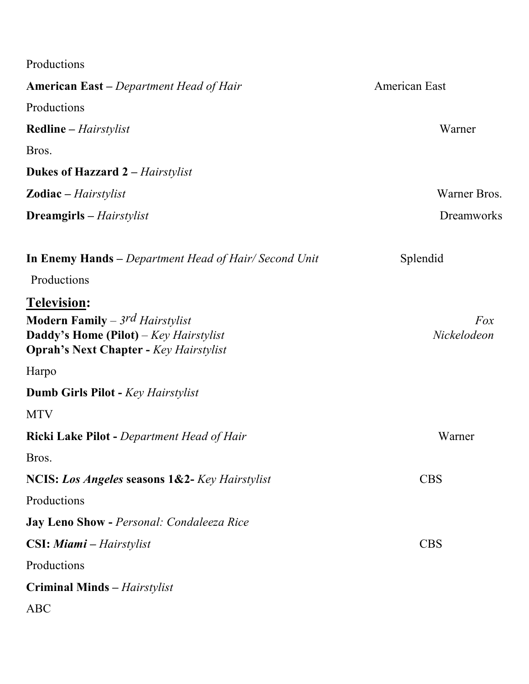| Productions                                                                                                                                      |                    |
|--------------------------------------------------------------------------------------------------------------------------------------------------|--------------------|
| <b>American East</b> – Department Head of Hair                                                                                                   | American East      |
| Productions                                                                                                                                      |                    |
| <b>Redline</b> – <i>Hairstylist</i>                                                                                                              | Warner             |
| Bros.                                                                                                                                            |                    |
| <b>Dukes of Hazzard 2 – Hairstylist</b>                                                                                                          |                    |
| <b>Zodiac</b> – Hairstylist                                                                                                                      | Warner Bros.       |
| <b>Dreamgirls</b> – Hairstylist                                                                                                                  | Dreamworks         |
| <b>In Enemy Hands</b> – Department Head of Hair/Second Unit                                                                                      | Splendid           |
| Productions                                                                                                                                      |                    |
| Television:<br><b>Modern Family</b> – 3rd Hairstylist<br>Daddy's Home (Pilot) - Key Hairstylist<br><b>Oprah's Next Chapter - Key Hairstylist</b> | Fox<br>Nickelodeon |
| Harpo                                                                                                                                            |                    |
| <b>Dumb Girls Pilot - Key Hairstylist</b>                                                                                                        |                    |
| <b>MTV</b>                                                                                                                                       |                    |
| <b>Ricki Lake Pilot - Department Head of Hair</b>                                                                                                | Warner             |
| Bros.                                                                                                                                            |                    |
| NCIS: Los Angeles seasons 1&2- Key Hairstylist                                                                                                   | <b>CBS</b>         |
| Productions                                                                                                                                      |                    |
| Jay Leno Show - Personal: Condaleeza Rice                                                                                                        |                    |
| <b>CSI: Miami</b> – Hairstylist                                                                                                                  | <b>CBS</b>         |
| Productions                                                                                                                                      |                    |
| <b>Criminal Minds</b> - Hairstylist                                                                                                              |                    |
| <b>ABC</b>                                                                                                                                       |                    |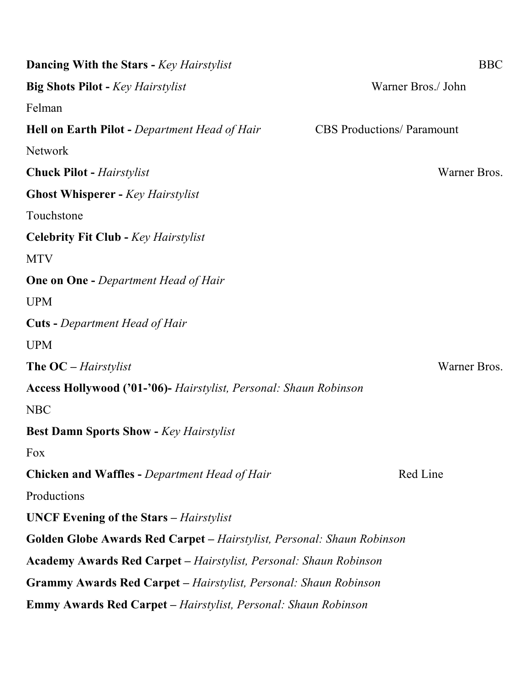| <b>Dancing With the Stars - Key Hairstylist</b>                          | <b>BBC</b>                        |
|--------------------------------------------------------------------------|-----------------------------------|
| <b>Big Shots Pilot - Key Hairstylist</b>                                 | Warner Bros./ John                |
| Felman                                                                   |                                   |
| <b>Hell on Earth Pilot - Department Head of Hair</b>                     | <b>CBS</b> Productions/ Paramount |
| Network                                                                  |                                   |
| <b>Chuck Pilot - Hairstylist</b>                                         | Warner Bros.                      |
| <b>Ghost Whisperer - Key Hairstylist</b>                                 |                                   |
| Touchstone                                                               |                                   |
| <b>Celebrity Fit Club - Key Hairstylist</b>                              |                                   |
| <b>MTV</b>                                                               |                                   |
| <b>One on One - Department Head of Hair</b>                              |                                   |
| <b>UPM</b>                                                               |                                   |
| <b>Cuts</b> - Department Head of Hair                                    |                                   |
| <b>UPM</b>                                                               |                                   |
| The OC – Hairstylist                                                     | Warner Bros.                      |
| Access Hollywood ('01-'06)- Hairstylist, Personal: Shaun Robinson        |                                   |
| <b>NBC</b>                                                               |                                   |
| <b>Best Damn Sports Show - Key Hairstylist</b>                           |                                   |
| Fox                                                                      |                                   |
| <b>Chicken and Waffles - Department Head of Hair</b>                     | Red Line                          |
| Productions                                                              |                                   |
| <b>UNCF Evening of the Stars</b> – <i>Hairstylist</i>                    |                                   |
| Golden Globe Awards Red Carpet - Hairstylist, Personal: Shaun Robinson   |                                   |
| <b>Academy Awards Red Carpet – Hairstylist, Personal: Shaun Robinson</b> |                                   |
| <b>Grammy Awards Red Carpet – Hairstylist, Personal: Shaun Robinson</b>  |                                   |
| <b>Emmy Awards Red Carpet - Hairstylist, Personal: Shaun Robinson</b>    |                                   |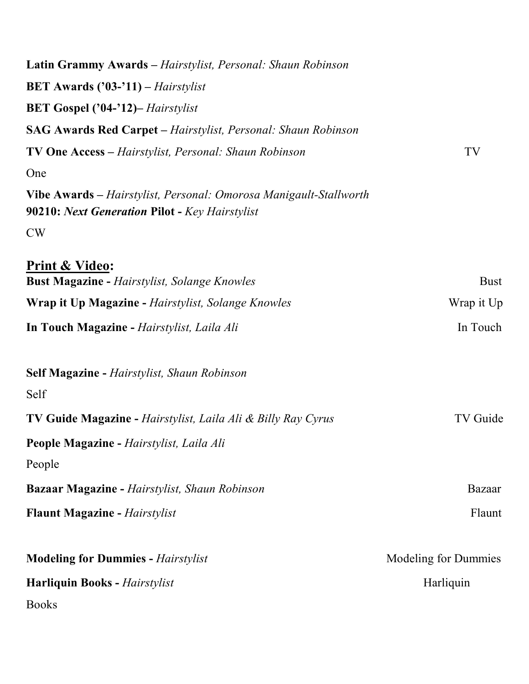| Latin Grammy Awards - Hairstylist, Personal: Shaun Robinson                                                         |                      |
|---------------------------------------------------------------------------------------------------------------------|----------------------|
| <b>BET Awards ('03-'11)</b> – Hairstylist                                                                           |                      |
| <b>BET Gospel ('04-'12)</b> - Hairstylist                                                                           |                      |
| SAG Awards Red Carpet - Hairstylist, Personal: Shaun Robinson                                                       |                      |
| <b>TV One Access</b> – Hairstylist, Personal: Shaun Robinson                                                        | TV                   |
| One                                                                                                                 |                      |
| Vibe Awards – Hairstylist, Personal: Omorosa Manigault-Stallworth<br>90210: Next Generation Pilot - Key Hairstylist |                      |
| <b>CW</b>                                                                                                           |                      |
| <b>Print &amp; Video:</b><br><b>Bust Magazine - Hairstylist, Solange Knowles</b>                                    | <b>Bust</b>          |
| <b>Wrap it Up Magazine - Hairstylist, Solange Knowles</b>                                                           | Wrap it Up           |
| In Touch Magazine - Hairstylist, Laila Ali                                                                          | In Touch             |
| <b>Self Magazine - Hairstylist, Shaun Robinson</b><br>Self                                                          |                      |
| TV Guide Magazine - Hairstylist, Laila Ali & Billy Ray Cyrus                                                        | TV Guide             |
| People Magazine - Hairstylist, Laila Ali                                                                            |                      |
| People                                                                                                              |                      |
| <b>Bazaar Magazine - Hairstylist, Shaun Robinson</b>                                                                | Bazaar               |
| <b>Flaunt Magazine - Hairstylist</b>                                                                                | Flaunt               |
| <b>Modeling for Dummies - Hairstylist</b>                                                                           | Modeling for Dummies |
| <b>Harliquin Books - Hairstylist</b>                                                                                | Harliquin            |
| <b>Books</b>                                                                                                        |                      |